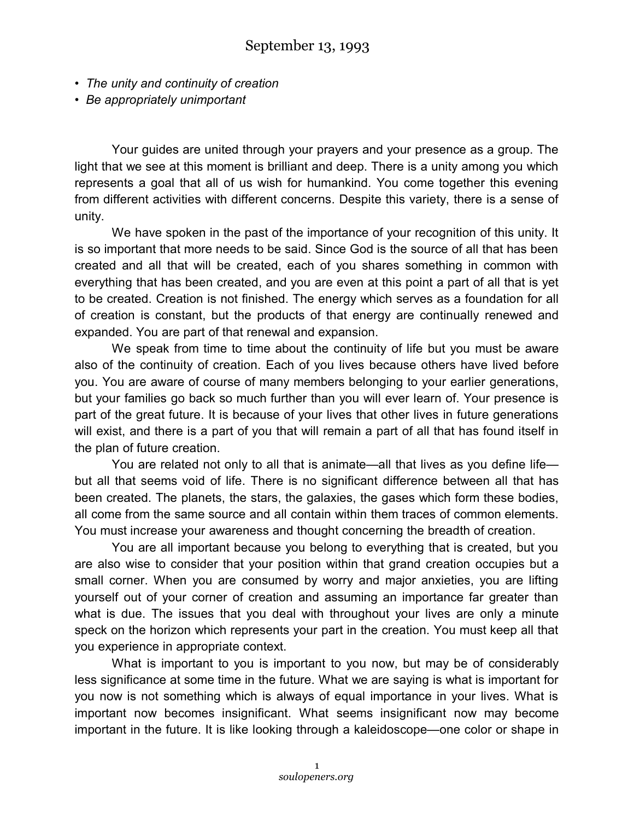- *The unity and continuity of creation*
- *Be appropriately unimportant*

Your guides are united through your prayers and your presence as a group. The light that we see at this moment is brilliant and deep. There is a unity among you which represents a goal that all of us wish for humankind. You come together this evening from different activities with different concerns. Despite this variety, there is a sense of unity.

We have spoken in the past of the importance of your recognition of this unity. It is so important that more needs to be said. Since God is the source of all that has been created and all that will be created, each of you shares something in common with everything that has been created, and you are even at this point a part of all that is yet to be created. Creation is not finished. The energy which serves as a foundation for all of creation is constant, but the products of that energy are continually renewed and expanded. You are part of that renewal and expansion.

We speak from time to time about the continuity of life but you must be aware also of the continuity of creation. Each of you lives because others have lived before you. You are aware of course of many members belonging to your earlier generations, but your families go back so much further than you will ever learn of. Your presence is part of the great future. It is because of your lives that other lives in future generations will exist, and there is a part of you that will remain a part of all that has found itself in the plan of future creation.

You are related not only to all that is animate—all that lives as you define life but all that seems void of life. There is no significant difference between all that has been created. The planets, the stars, the galaxies, the gases which form these bodies, all come from the same source and all contain within them traces of common elements. You must increase your awareness and thought concerning the breadth of creation.

You are all important because you belong to everything that is created, but you are also wise to consider that your position within that grand creation occupies but a small corner. When you are consumed by worry and major anxieties, you are lifting yourself out of your corner of creation and assuming an importance far greater than what is due. The issues that you deal with throughout your lives are only a minute speck on the horizon which represents your part in the creation. You must keep all that you experience in appropriate context.

What is important to you is important to you now, but may be of considerably less significance at some time in the future. What we are saying is what is important for you now is not something which is always of equal importance in your lives. What is important now becomes insignificant. What seems insignificant now may become important in the future. It is like looking through a kaleidoscope—one color or shape in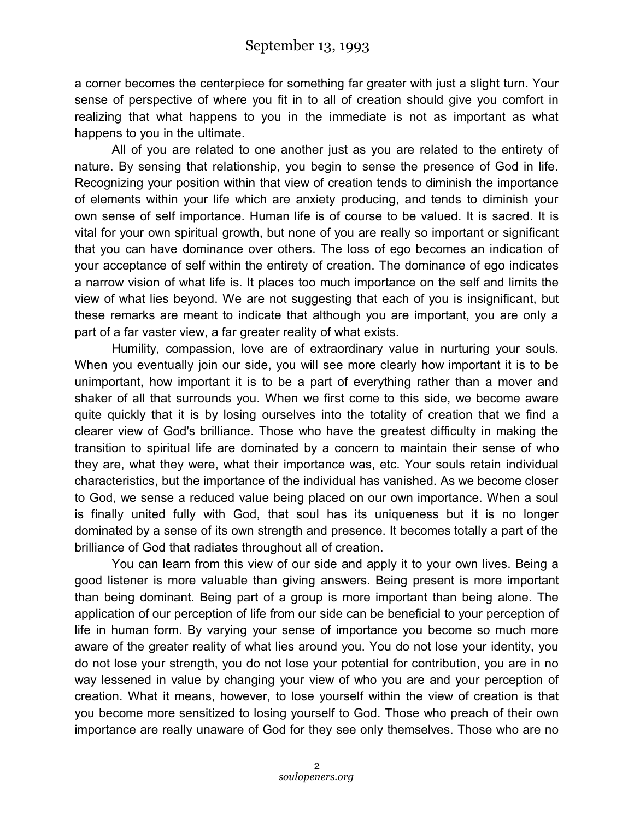a corner becomes the centerpiece for something far greater with just a slight turn. Your sense of perspective of where you fit in to all of creation should give you comfort in realizing that what happens to you in the immediate is not as important as what happens to you in the ultimate.

All of you are related to one another just as you are related to the entirety of nature. By sensing that relationship, you begin to sense the presence of God in life. Recognizing your position within that view of creation tends to diminish the importance of elements within your life which are anxiety producing, and tends to diminish your own sense of self importance. Human life is of course to be valued. It is sacred. It is vital for your own spiritual growth, but none of you are really so important or significant that you can have dominance over others. The loss of ego becomes an indication of your acceptance of self within the entirety of creation. The dominance of ego indicates a narrow vision of what life is. It places too much importance on the self and limits the view of what lies beyond. We are not suggesting that each of you is insignificant, but these remarks are meant to indicate that although you are important, you are only a part of a far vaster view, a far greater reality of what exists.

Humility, compassion, love are of extraordinary value in nurturing your souls. When you eventually join our side, you will see more clearly how important it is to be unimportant, how important it is to be a part of everything rather than a mover and shaker of all that surrounds you. When we first come to this side, we become aware quite quickly that it is by losing ourselves into the totality of creation that we find a clearer view of God's brilliance. Those who have the greatest difficulty in making the transition to spiritual life are dominated by a concern to maintain their sense of who they are, what they were, what their importance was, etc. Your souls retain individual characteristics, but the importance of the individual has vanished. As we become closer to God, we sense a reduced value being placed on our own importance. When a soul is finally united fully with God, that soul has its uniqueness but it is no longer dominated by a sense of its own strength and presence. It becomes totally a part of the brilliance of God that radiates throughout all of creation.

You can learn from this view of our side and apply it to your own lives. Being a good listener is more valuable than giving answers. Being present is more important than being dominant. Being part of a group is more important than being alone. The application of our perception of life from our side can be beneficial to your perception of life in human form. By varying your sense of importance you become so much more aware of the greater reality of what lies around you. You do not lose your identity, you do not lose your strength, you do not lose your potential for contribution, you are in no way lessened in value by changing your view of who you are and your perception of creation. What it means, however, to lose yourself within the view of creation is that you become more sensitized to losing yourself to God. Those who preach of their own importance are really unaware of God for they see only themselves. Those who are no